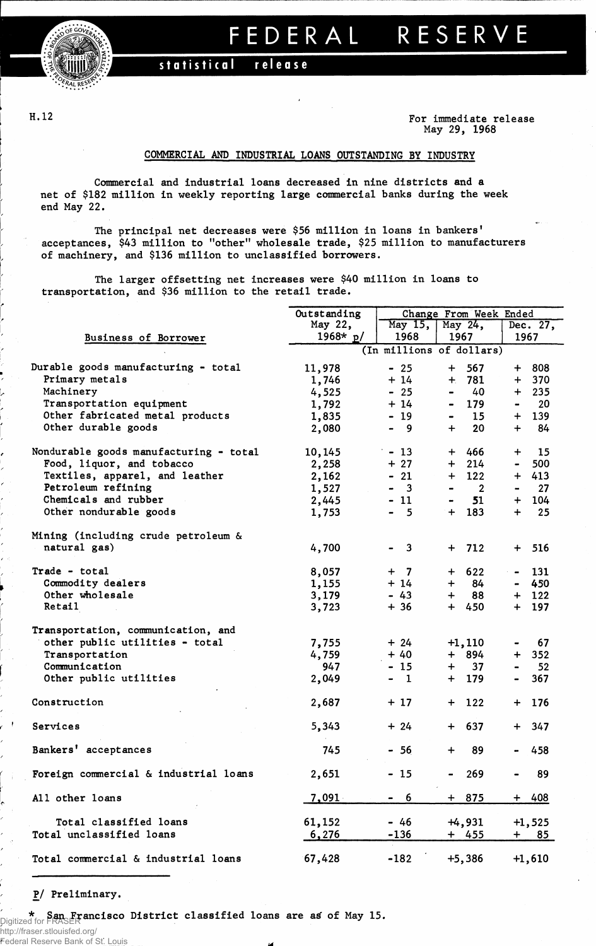

## FEDERA L RESERV E

 $stratical$  **release** 

H.12

**For immediate release May 29, 1968**

## **COMMERCIAL AND INDUSTRIAL LOANS OUTSTANDING BY INDUSTRY**

**Commercial and industrial loans decreased in nine districts and a net of \$182 million in weekly reporting large commercial banks during the week end May 22.**

**The principal net decreases were \$56 million in loans in bankers' acceptances, \$43 million to "other" wholesale trade, \$25 million to manufacturers of machinery, and \$136 million to unclassified borrowers.**

**The larger offsetting net increases were \$40 million in loans to transportation, and \$36 million to the retail trade.**

|                                        | Outstanding |                          | Change From Week Ended                     |                                    |  |
|----------------------------------------|-------------|--------------------------|--------------------------------------------|------------------------------------|--|
|                                        | May 22,     | May 15,                  | May 24,                                    | Dec. 27,                           |  |
| Business of Borrower                   | 1968* $p/$  | 1968                     | 1967                                       |                                    |  |
|                                        |             | (In millions of dollars) |                                            |                                    |  |
| Durable goods manufacturing - total    | 11,978      | $-25$                    | $+$<br>567                                 | + 808                              |  |
| Primary metals                         | 1,746       | $+14$                    | $+ 781$                                    | $+ 370$                            |  |
| Machinery                              | 4,525       | $-25$                    | 40<br>$\blacksquare$                       | $+ 235$                            |  |
| Transportation equipment               | 1,792       | $+14$                    | - 179                                      | 20<br>$\blacksquare$               |  |
| Other fabricated metal products        | 1,835       | $-19$                    | 15<br>$\blacksquare$                       | $+ 139$                            |  |
| Other durable goods                    | 2,080       | $-9$                     | $+$<br>20                                  | 84<br>$+$ $-$                      |  |
|                                        |             |                          |                                            |                                    |  |
| Nondurable goods manufacturing - total | 10,145      | $-13$                    | + 466                                      | $+$ 15                             |  |
| Food, liquor, and tobacco              | 2,258       | $+27$                    | 214<br>$+$                                 | 500<br>$\bullet$ .                 |  |
| Textiles, apparel, and leather         | 2,162       | $-21$                    | 122<br>$+$                                 | $+ 413$                            |  |
| Petroleum refining                     | 1,527       | $\overline{\mathbf{3}}$  | $\overline{\phantom{a}}$<br>$\blacksquare$ | 27<br>$\qquad \qquad \blacksquare$ |  |
| Chemicals and rubber                   | 2,445       | $-11$                    | 51<br>$\blacksquare$                       | $+ 104$                            |  |
| Other nondurable goods                 | 1,753       | $-5$                     | $+ 183$                                    | 25<br>$+$ $-$                      |  |
|                                        |             |                          |                                            |                                    |  |
| Mining (including crude petroleum &    |             |                          |                                            |                                    |  |
| natural gas)                           | 4,700       | $-3$                     | $+ 712$                                    | $+ 516$                            |  |
| Trade - total                          | 8,057       | $+$ 7                    | $+ 622$                                    | $-131$                             |  |
| Commodity dealers                      | 1,155       | $+14$                    | 84<br>$+$ $-$                              | $-450$                             |  |
| Other wholesale                        | 3,179       | $-43$                    | 88<br>$+$ $-$                              | $+ 122$                            |  |
| <b>Retail</b>                          | 3,723       | $+36$                    | $+ 450$                                    | $+ 197$                            |  |
|                                        |             |                          |                                            |                                    |  |
| Transportation, communication, and     |             |                          |                                            |                                    |  |
| other public utilities - total         | 7,755       | $+24$                    | $+1,110$                                   | 67                                 |  |
| Transportation                         | 4,759       | $+40$                    | + 894                                      | $+ 352$                            |  |
| Communication                          | 947         | $-15$                    | 37<br>$+$ $-$                              | 52<br>$\blacksquare$               |  |
| Other public utilities                 | 2,049       | - 1                      | $+ 179$                                    | 367<br>$\blacksquare$              |  |
| Construction                           | 2,687       | $+17$                    | $+$ 122                                    | 176<br>$+$                         |  |
|                                        |             |                          |                                            |                                    |  |
| Services                               | 5,343       | $+24$                    | $+ 637$                                    | 347<br>$+$                         |  |
| Bankers' acceptances                   | 745         | $-56$                    | 89<br>$+$                                  | 458                                |  |
| Foreign commercial & industrial loans  | 2,651       | - 15                     | 269<br>$\blacksquare$                      | 89<br>$\blacksquare$               |  |
|                                        |             |                          |                                            |                                    |  |
| All other loans                        | 7,091       | 6<br>$\sim$              | $+ 875$                                    | $+ 408$                            |  |
| Total classified loans                 | 61,152      | $-46$                    | $+4,931$                                   | $+1,525$                           |  |
| Total unclassified loans               | 6,276       | $-136$                   | + 455                                      | $+$ $-$<br><u>85</u>               |  |
| Total commercial & industrial loans    | 67,428      | $-182$                   | $+5,386$                                   | $+1,610$                           |  |

**P/ Preliminary.**

**\* San Francisco District classified loans are atf of May 15.** Digitized for FRASER

http://fraser.stlouisfed.org/

Federal Reserve Bank of St.